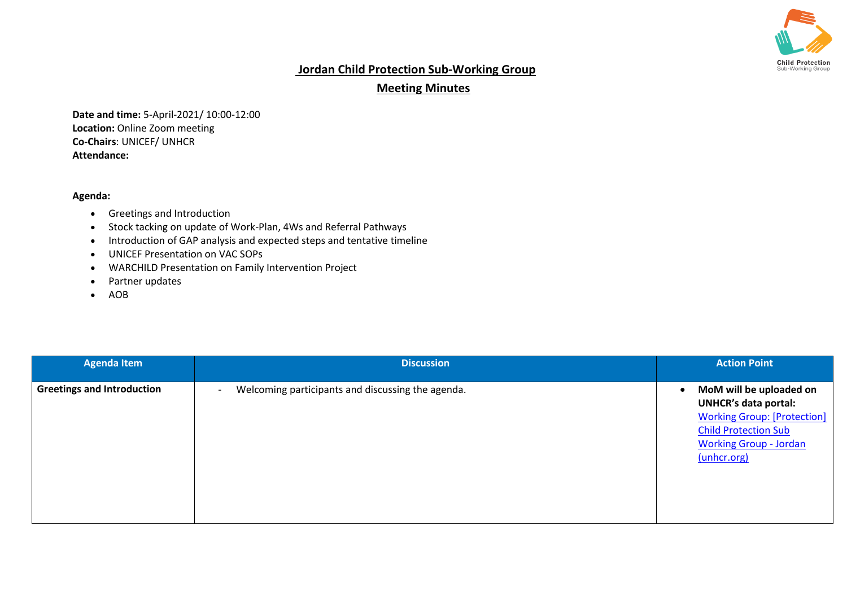

## **Jordan Child Protection Sub-Working Group**

## **Meeting Minutes**

**Date and time:** 5-April-2021/ 10:00-12:00 **Location:** Online Zoom meeting **Co-Chairs**: UNICEF/ UNHCR **Attendance:** 

## **Agenda:**

- Greetings and Introduction
- Stock tacking on update of Work-Plan, 4Ws and Referral Pathways
- Introduction of GAP analysis and expected steps and tentative timeline
- UNICEF Presentation on VAC SOPs
- WARCHILD Presentation on Family Intervention Project
- Partner updates
- AOB

| <b>Agenda Item</b>                | <b>Discussion</b>                                                             | <b>Action Point</b>                                                                                                                                                                      |
|-----------------------------------|-------------------------------------------------------------------------------|------------------------------------------------------------------------------------------------------------------------------------------------------------------------------------------|
| <b>Greetings and Introduction</b> | Welcoming participants and discussing the agenda.<br>$\overline{\phantom{a}}$ | MoM will be uploaded on<br>$\bullet$<br><b>UNHCR's data portal:</b><br><b>Working Group: [Protection]</b><br><b>Child Protection Sub</b><br><b>Working Group - Jordan</b><br>(unhcr.org) |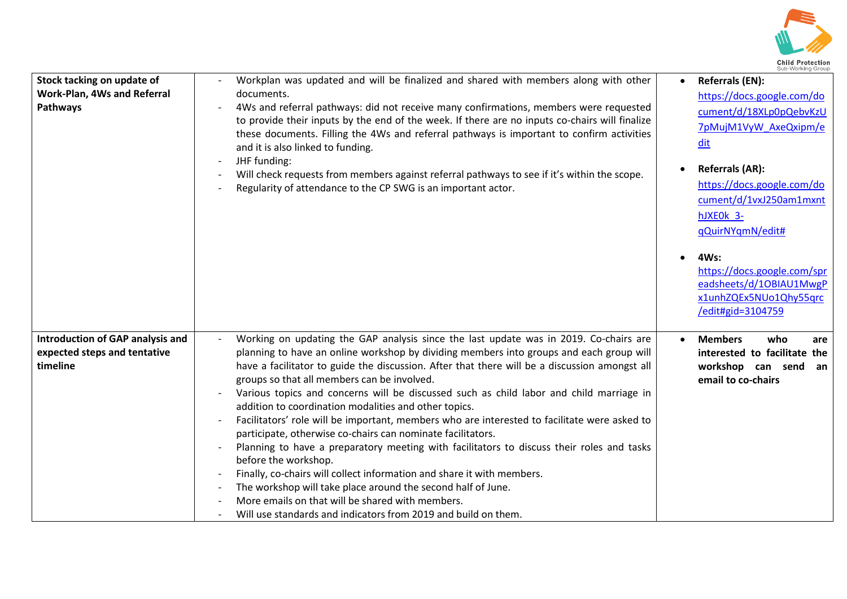

| Stock tacking on update of<br>Work-Plan, 4Ws and Referral<br>Pathways               | Workplan was updated and will be finalized and shared with members along with other<br>documents.<br>4Ws and referral pathways: did not receive many confirmations, members were requested<br>to provide their inputs by the end of the week. If there are no inputs co-chairs will finalize<br>these documents. Filling the 4Ws and referral pathways is important to confirm activities<br>and it is also linked to funding.<br>JHF funding:<br>Will check requests from members against referral pathways to see if it's within the scope.<br>Regularity of attendance to the CP SWG is an important actor.                                                                                                                                                                                                                                                                                                                                                                                                                           | Sub-Working Group<br>Referrals (EN):<br>https://docs.google.com/do<br>cument/d/18XLp0pQebvKzU<br>7pMujM1VyW AxeQxipm/e<br>dit<br><b>Referrals (AR):</b><br>$\bullet$<br>https://docs.google.com/do<br>cument/d/1vxJ250am1mxnt<br>hJXEOk 3-<br>qQuirNYqmN/edit#<br>4Ws:<br>https://docs.google.com/spr<br>eadsheets/d/10BIAU1MwgP<br>x1unhZQEx5NUo1Qhy55qrc<br>/edit#gid=3104759 |
|-------------------------------------------------------------------------------------|------------------------------------------------------------------------------------------------------------------------------------------------------------------------------------------------------------------------------------------------------------------------------------------------------------------------------------------------------------------------------------------------------------------------------------------------------------------------------------------------------------------------------------------------------------------------------------------------------------------------------------------------------------------------------------------------------------------------------------------------------------------------------------------------------------------------------------------------------------------------------------------------------------------------------------------------------------------------------------------------------------------------------------------|---------------------------------------------------------------------------------------------------------------------------------------------------------------------------------------------------------------------------------------------------------------------------------------------------------------------------------------------------------------------------------|
| <b>Introduction of GAP analysis and</b><br>expected steps and tentative<br>timeline | Working on updating the GAP analysis since the last update was in 2019. Co-chairs are<br>planning to have an online workshop by dividing members into groups and each group will<br>have a facilitator to guide the discussion. After that there will be a discussion amongst all<br>groups so that all members can be involved.<br>Various topics and concerns will be discussed such as child labor and child marriage in<br>addition to coordination modalities and other topics.<br>Facilitators' role will be important, members who are interested to facilitate were asked to<br>participate, otherwise co-chairs can nominate facilitators.<br>Planning to have a preparatory meeting with facilitators to discuss their roles and tasks<br>before the workshop.<br>Finally, co-chairs will collect information and share it with members.<br>The workshop will take place around the second half of June.<br>More emails on that will be shared with members.<br>Will use standards and indicators from 2019 and build on them. | <b>Members</b><br>who<br>are<br>interested to facilitate the<br>workshop can send an<br>email to co-chairs                                                                                                                                                                                                                                                                      |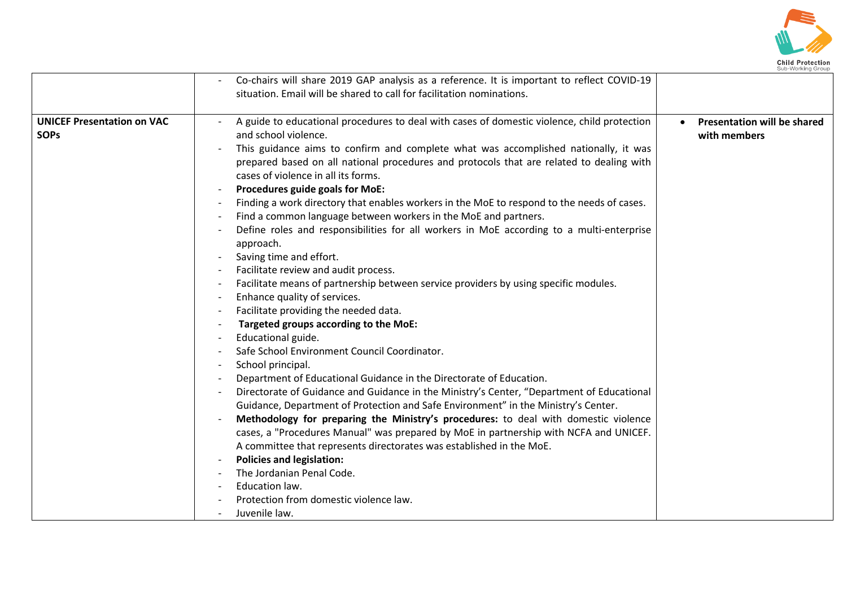

|                                   | Co-chairs will share 2019 GAP analysis as a reference. It is important to reflect COVID-19                                                                    |                                    |
|-----------------------------------|---------------------------------------------------------------------------------------------------------------------------------------------------------------|------------------------------------|
|                                   | situation. Email will be shared to call for facilitation nominations.                                                                                         |                                    |
|                                   |                                                                                                                                                               |                                    |
| <b>UNICEF Presentation on VAC</b> | A guide to educational procedures to deal with cases of domestic violence, child protection                                                                   | <b>Presentation will be shared</b> |
| <b>SOPs</b>                       | and school violence.                                                                                                                                          | with members                       |
|                                   | This guidance aims to confirm and complete what was accomplished nationally, it was                                                                           |                                    |
|                                   | prepared based on all national procedures and protocols that are related to dealing with<br>cases of violence in all its forms.                               |                                    |
|                                   |                                                                                                                                                               |                                    |
|                                   | Procedures guide goals for MoE:                                                                                                                               |                                    |
|                                   | Finding a work directory that enables workers in the MoE to respond to the needs of cases.<br>Find a common language between workers in the MoE and partners. |                                    |
|                                   | Define roles and responsibilities for all workers in MoE according to a multi-enterprise                                                                      |                                    |
|                                   | approach.                                                                                                                                                     |                                    |
|                                   | Saving time and effort.<br>$\overline{\phantom{a}}$                                                                                                           |                                    |
|                                   | Facilitate review and audit process.                                                                                                                          |                                    |
|                                   | Facilitate means of partnership between service providers by using specific modules.                                                                          |                                    |
|                                   | Enhance quality of services.<br>$\overline{\phantom{a}}$                                                                                                      |                                    |
|                                   | Facilitate providing the needed data.                                                                                                                         |                                    |
|                                   | Targeted groups according to the MoE:                                                                                                                         |                                    |
|                                   | Educational guide.                                                                                                                                            |                                    |
|                                   | Safe School Environment Council Coordinator.                                                                                                                  |                                    |
|                                   | School principal.<br>$\overline{\phantom{a}}$                                                                                                                 |                                    |
|                                   | Department of Educational Guidance in the Directorate of Education.                                                                                           |                                    |
|                                   | Directorate of Guidance and Guidance in the Ministry's Center, "Department of Educational                                                                     |                                    |
|                                   | Guidance, Department of Protection and Safe Environment" in the Ministry's Center.                                                                            |                                    |
|                                   | Methodology for preparing the Ministry's procedures: to deal with domestic violence                                                                           |                                    |
|                                   | cases, a "Procedures Manual" was prepared by MoE in partnership with NCFA and UNICEF.                                                                         |                                    |
|                                   | A committee that represents directorates was established in the MoE.                                                                                          |                                    |
|                                   | <b>Policies and legislation:</b>                                                                                                                              |                                    |
|                                   | The Jordanian Penal Code.                                                                                                                                     |                                    |
|                                   | Education law.                                                                                                                                                |                                    |
|                                   | Protection from domestic violence law.                                                                                                                        |                                    |
|                                   | Juvenile law.                                                                                                                                                 |                                    |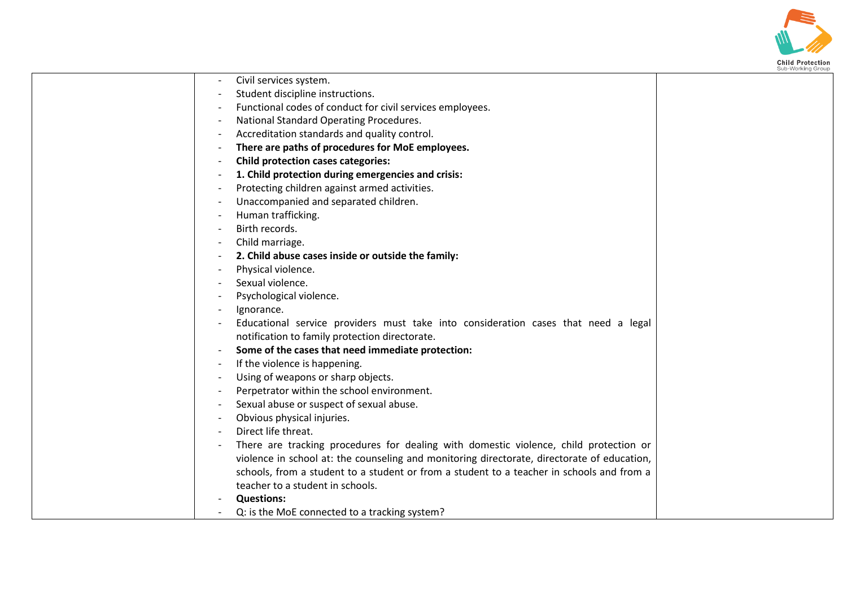

| Civil services system.                                                                      |
|---------------------------------------------------------------------------------------------|
| Student discipline instructions.                                                            |
| Functional codes of conduct for civil services employees.                                   |
| National Standard Operating Procedures.                                                     |
| Accreditation standards and quality control.                                                |
| There are paths of procedures for MoE employees.                                            |
| <b>Child protection cases categories:</b>                                                   |
| 1. Child protection during emergencies and crisis:                                          |
| Protecting children against armed activities.                                               |
| Unaccompanied and separated children.                                                       |
| Human trafficking.                                                                          |
| Birth records.                                                                              |
| Child marriage.                                                                             |
| 2. Child abuse cases inside or outside the family:                                          |
| Physical violence.                                                                          |
| Sexual violence.                                                                            |
| Psychological violence.                                                                     |
| Ignorance.                                                                                  |
| Educational service providers must take into consideration cases that need a legal          |
| notification to family protection directorate.                                              |
| Some of the cases that need immediate protection:                                           |
| If the violence is happening.                                                               |
| Using of weapons or sharp objects.                                                          |
| Perpetrator within the school environment.                                                  |
| Sexual abuse or suspect of sexual abuse.                                                    |
| Obvious physical injuries.                                                                  |
| Direct life threat.                                                                         |
| There are tracking procedures for dealing with domestic violence, child protection or       |
| violence in school at: the counseling and monitoring directorate, directorate of education, |
| schools, from a student to a student or from a student to a teacher in schools and from a   |
| teacher to a student in schools.                                                            |
| <b>Questions:</b>                                                                           |
| Q: is the MoE connected to a tracking system?                                               |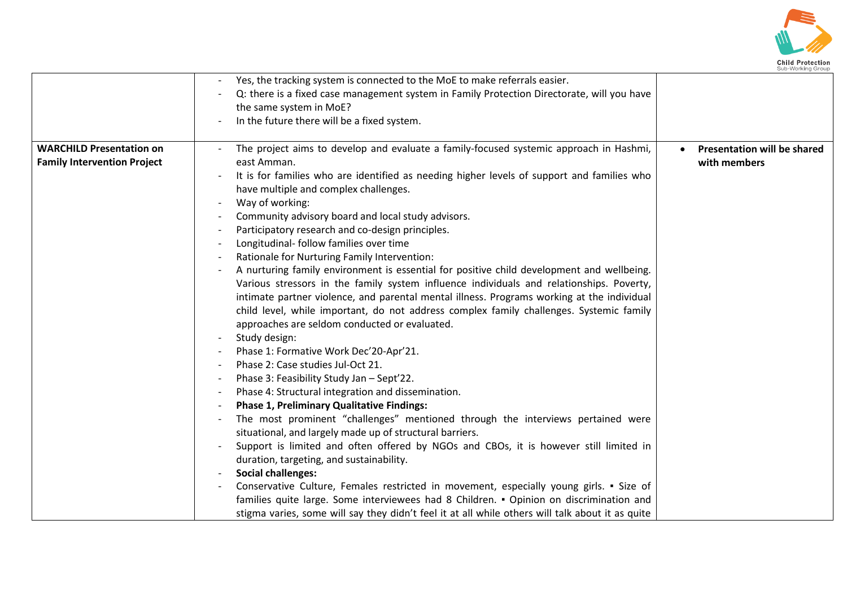

|                                                                       | Yes, the tracking system is connected to the MoE to make referrals easier.<br>Q: there is a fixed case management system in Family Protection Directorate, will you have<br>the same system in MoE?<br>In the future there will be a fixed system.                                                                                                                                                                                                                                                                                                                                                                                                                                                                                                                                                                                                                                                                                                                                                                                                                                                                                                                                                                                                                                                                                                                                                                                                                                                                                                                                                                                                                                                                                                                                                                               |
|-----------------------------------------------------------------------|----------------------------------------------------------------------------------------------------------------------------------------------------------------------------------------------------------------------------------------------------------------------------------------------------------------------------------------------------------------------------------------------------------------------------------------------------------------------------------------------------------------------------------------------------------------------------------------------------------------------------------------------------------------------------------------------------------------------------------------------------------------------------------------------------------------------------------------------------------------------------------------------------------------------------------------------------------------------------------------------------------------------------------------------------------------------------------------------------------------------------------------------------------------------------------------------------------------------------------------------------------------------------------------------------------------------------------------------------------------------------------------------------------------------------------------------------------------------------------------------------------------------------------------------------------------------------------------------------------------------------------------------------------------------------------------------------------------------------------------------------------------------------------------------------------------------------------|
| <b>WARCHILD Presentation on</b><br><b>Family Intervention Project</b> | The project aims to develop and evaluate a family-focused systemic approach in Hashmi,<br><b>Presentation will be shared</b><br>east Amman.<br>with members<br>It is for families who are identified as needing higher levels of support and families who<br>have multiple and complex challenges.<br>Way of working:<br>Community advisory board and local study advisors.<br>Participatory research and co-design principles.<br>Longitudinal- follow families over time<br>Rationale for Nurturing Family Intervention:<br>A nurturing family environment is essential for positive child development and wellbeing.<br>Various stressors in the family system influence individuals and relationships. Poverty,<br>intimate partner violence, and parental mental illness. Programs working at the individual<br>child level, while important, do not address complex family challenges. Systemic family<br>approaches are seldom conducted or evaluated.<br>Study design:<br>Phase 1: Formative Work Dec'20-Apr'21.<br>Phase 2: Case studies Jul-Oct 21.<br>Phase 3: Feasibility Study Jan - Sept'22.<br>Phase 4: Structural integration and dissemination.<br><b>Phase 1, Preliminary Qualitative Findings:</b><br>The most prominent "challenges" mentioned through the interviews pertained were<br>situational, and largely made up of structural barriers.<br>Support is limited and often offered by NGOs and CBOs, it is however still limited in<br>duration, targeting, and sustainability.<br><b>Social challenges:</b><br>Conservative Culture, Females restricted in movement, especially young girls. • Size of<br>families quite large. Some interviewees had 8 Children. • Opinion on discrimination and<br>stigma varies, some will say they didn't feel it at all while others will talk about it as quite |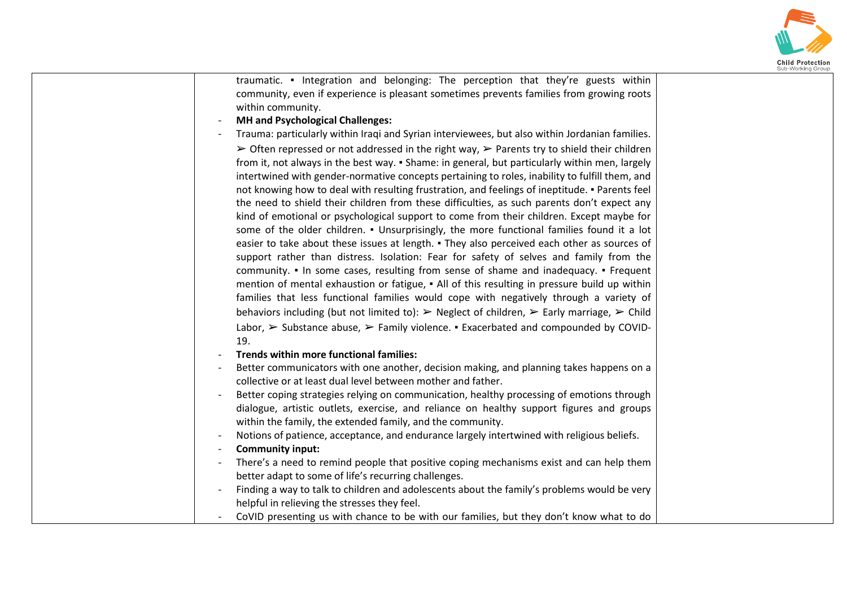

| traumatic. • Integration and belonging: The perception that they're guests within<br>community, even if experience is pleasant sometimes prevents families from growing roots<br>within community. |  |
|----------------------------------------------------------------------------------------------------------------------------------------------------------------------------------------------------|--|
| <b>MH</b> and Psychological Challenges:                                                                                                                                                            |  |
| Trauma: particularly within Iraqi and Syrian interviewees, but also within Jordanian families.                                                                                                     |  |
| $\triangleright$ Often repressed or not addressed in the right way, $\triangleright$ Parents try to shield their children                                                                          |  |
| from it, not always in the best way. • Shame: in general, but particularly within men, largely                                                                                                     |  |
| intertwined with gender-normative concepts pertaining to roles, inability to fulfill them, and                                                                                                     |  |
| not knowing how to deal with resulting frustration, and feelings of ineptitude. • Parents feel                                                                                                     |  |
| the need to shield their children from these difficulties, as such parents don't expect any                                                                                                        |  |
| kind of emotional or psychological support to come from their children. Except maybe for                                                                                                           |  |
| some of the older children. • Unsurprisingly, the more functional families found it a lot                                                                                                          |  |
| easier to take about these issues at length. • They also perceived each other as sources of                                                                                                        |  |
| support rather than distress. Isolation: Fear for safety of selves and family from the                                                                                                             |  |
| community. • In some cases, resulting from sense of shame and inadequacy. • Frequent                                                                                                               |  |
| mention of mental exhaustion or fatigue, • All of this resulting in pressure build up within                                                                                                       |  |
| families that less functional families would cope with negatively through a variety of                                                                                                             |  |
| behaviors including (but not limited to): $\triangleright$ Neglect of children, $\triangleright$ Early marriage, $\triangleright$ Child                                                            |  |
| Labor, $\triangleright$ Substance abuse, $\triangleright$ Family violence. $\blacksquare$ Exacerbated and compounded by COVID-<br>19.                                                              |  |
| Trends within more functional families:                                                                                                                                                            |  |
| Better communicators with one another, decision making, and planning takes happens on a                                                                                                            |  |
| collective or at least dual level between mother and father.                                                                                                                                       |  |
| Better coping strategies relying on communication, healthy processing of emotions through                                                                                                          |  |
| dialogue, artistic outlets, exercise, and reliance on healthy support figures and groups                                                                                                           |  |
| within the family, the extended family, and the community.                                                                                                                                         |  |
| Notions of patience, acceptance, and endurance largely intertwined with religious beliefs.                                                                                                         |  |
| <b>Community input:</b>                                                                                                                                                                            |  |
| There's a need to remind people that positive coping mechanisms exist and can help them                                                                                                            |  |
| better adapt to some of life's recurring challenges.                                                                                                                                               |  |
| Finding a way to talk to children and adolescents about the family's problems would be very                                                                                                        |  |
| helpful in relieving the stresses they feel.                                                                                                                                                       |  |
| CoVID presenting us with chance to be with our families, but they don't know what to do                                                                                                            |  |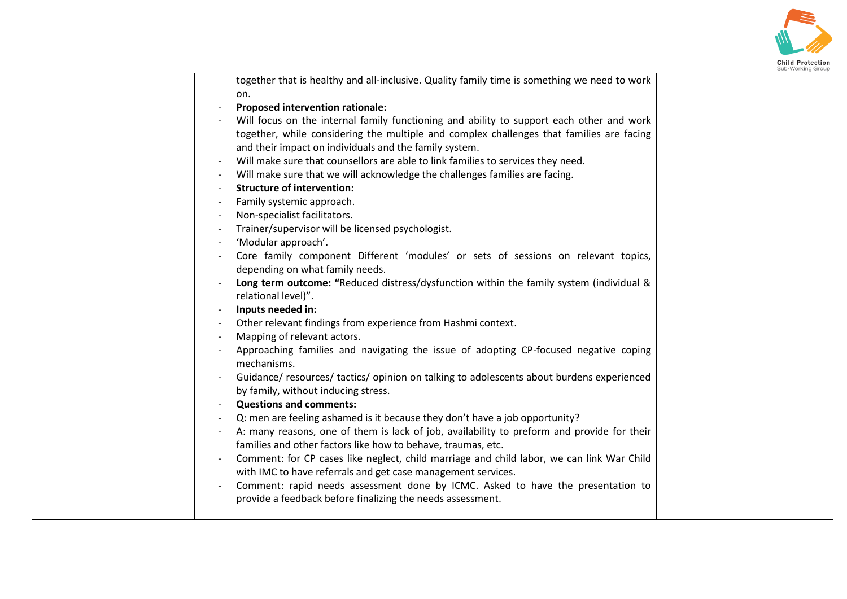

| together that is healthy and all-inclusive. Quality family time is something we need to work |  |
|----------------------------------------------------------------------------------------------|--|
| on.                                                                                          |  |
| <b>Proposed intervention rationale:</b>                                                      |  |
| Will focus on the internal family functioning and ability to support each other and work     |  |
| together, while considering the multiple and complex challenges that families are facing     |  |
| and their impact on individuals and the family system.                                       |  |
| Will make sure that counsellors are able to link families to services they need.             |  |
| Will make sure that we will acknowledge the challenges families are facing.                  |  |
| <b>Structure of intervention:</b>                                                            |  |
| Family systemic approach.                                                                    |  |
| Non-specialist facilitators.                                                                 |  |
| Trainer/supervisor will be licensed psychologist.                                            |  |
| 'Modular approach'.                                                                          |  |
| Core family component Different 'modules' or sets of sessions on relevant topics,            |  |
| depending on what family needs.                                                              |  |
| Long term outcome: "Reduced distress/dysfunction within the family system (individual &      |  |
| relational level)".                                                                          |  |
| Inputs needed in:                                                                            |  |
| Other relevant findings from experience from Hashmi context.                                 |  |
| Mapping of relevant actors.                                                                  |  |
| Approaching families and navigating the issue of adopting CP-focused negative coping         |  |
| mechanisms.                                                                                  |  |
| Guidance/resources/tactics/opinion on talking to adolescents about burdens experienced       |  |
| by family, without inducing stress.                                                          |  |
| <b>Questions and comments:</b>                                                               |  |
| Q: men are feeling ashamed is it because they don't have a job opportunity?                  |  |
| A: many reasons, one of them is lack of job, availability to preform and provide for their   |  |
| families and other factors like how to behave, traumas, etc.                                 |  |
| Comment: for CP cases like neglect, child marriage and child labor, we can link War Child    |  |
| with IMC to have referrals and get case management services.                                 |  |
| Comment: rapid needs assessment done by ICMC. Asked to have the presentation to              |  |
| provide a feedback before finalizing the needs assessment.                                   |  |
|                                                                                              |  |